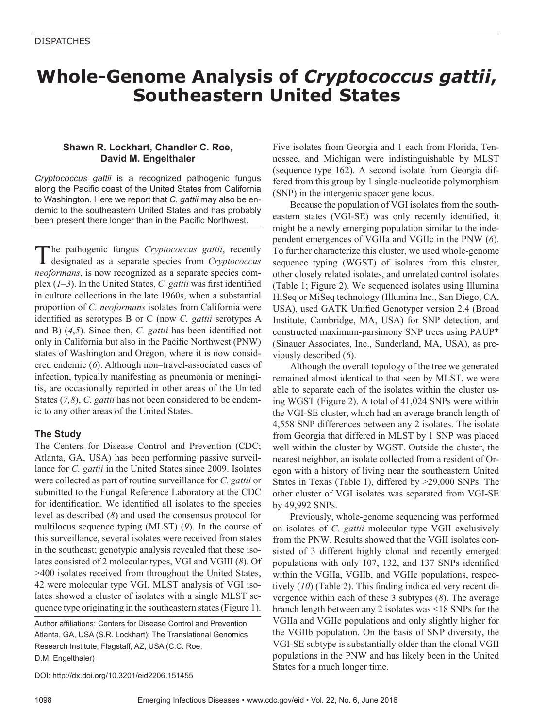# **Whole-Genome Analysis of** *Cryptococcus gattii***, Southeastern United States**

## **Shawn R. Lockhart, Chandler C. Roe, David M. Engelthaler**

*Cryptococcus gattii* is a recognized pathogenic fungus along the Pacific coast of the United States from California to Washington. Here we report that *C. gattii* may also be endemic to the southeastern United States and has probably been present there longer than in the Pacific Northwest.

The pathogenic fungus *Cryptococcus gattii*, recently designated as a separate species from *Cryptococcus neoformans*, is now recognized as a separate species complex (*1*–*3*). In the United States, *C. gattii* was first identified in culture collections in the late 1960s, when a substantial proportion of *C. neoformans* isolates from California were identified as serotypes B or C (now *C. gattii* serotypes A and B) (*4*,*5*). Since then, *C. gattii* has been identified not only in California but also in the Pacific Northwest (PNW) states of Washington and Oregon, where it is now considered endemic (*6*). Although non–travel-associated cases of infection, typically manifesting as pneumonia or meningitis, are occasionally reported in other areas of the United States (*7,8*), *C*. *gattii* has not been considered to be endemic to any other areas of the United States.

### **The Study**

The Centers for Disease Control and Prevention (CDC; Atlanta, GA, USA) has been performing passive surveillance for *C. gattii* in the United States since 2009. Isolates were collected as part of routine surveillance for *C. gattii* or submitted to the Fungal Reference Laboratory at the CDC for identification. We identified all isolates to the species level as described (*8*) and used the consensus protocol for multilocus sequence typing (MLST) (*9*). In the course of this surveillance, several isolates were received from states in the southeast; genotypic analysis revealed that these isolates consisted of 2 molecular types, VGI and VGIII (*8*). Of >400 isolates received from throughout the United States, 42 were molecular type VGI. MLST analysis of VGI isolates showed a cluster of isolates with a single MLST sequence type originating in the southeastern states (Figure 1).

Author affiliations: Centers for Disease Control and Prevention, Atlanta, GA, USA (S.R. Lockhart); The Translational Genomics Research Institute, Flagstaff, AZ, USA (C.C. Roe, D.M. Engelthaler)

DOI: http://dx.doi.org/10.3201/eid2206.151455

Five isolates from Georgia and 1 each from Florida, Tennessee, and Michigan were indistinguishable by MLST (sequence type 162). A second isolate from Georgia differed from this group by 1 single-nucleotide polymorphism (SNP) in the intergenic spacer gene locus.

Because the population of VGI isolates from the southeastern states (VGI-SE) was only recently identified, it might be a newly emerging population similar to the independent emergences of VGIIa and VGIIc in the PNW (*6*). To further characterize this cluster, we used whole-genome sequence typing (WGST) of isolates from this cluster, other closely related isolates, and unrelated control isolates (Table 1; Figure 2). We sequenced isolates using Illumina HiSeq or MiSeq technology (Illumina Inc., San Diego, CA, USA), used GATK Unified Genotyper version 2.4 (Broad Institute, Cambridge, MA, USA) for SNP detection, and constructed maximum-parsimony SNP trees using PAUP\* (Sinauer Associates, Inc., Sunderland, MA, USA), as previously described (*6*).

Although the overall topology of the tree we generated remained almost identical to that seen by MLST, we were able to separate each of the isolates within the cluster using WGST (Figure 2). A total of 41,024 SNPs were within the VGI-SE cluster, which had an average branch length of 4,558 SNP differences between any 2 isolates. The isolate from Georgia that differed in MLST by 1 SNP was placed well within the cluster by WGST. Outside the cluster, the nearest neighbor, an isolate collected from a resident of Oregon with a history of living near the southeastern United States in Texas (Table 1), differed by >29,000 SNPs. The other cluster of VGI isolates was separated from VGI-SE by 49,992 SNPs.

Previously, whole-genome sequencing was performed on isolates of *C. gattii* molecular type VGII exclusively from the PNW. Results showed that the VGII isolates consisted of 3 different highly clonal and recently emerged populations with only 107, 132, and 137 SNPs identified within the VGIIa, VGIIb, and VGIIc populations, respectively (*10*) (Table 2). This finding indicated very recent divergence within each of these 3 subtypes (*8*). The average branch length between any 2 isolates was <18 SNPs for the VGIIa and VGIIc populations and only slightly higher for the VGIIb population. On the basis of SNP diversity, the VGI-SE subtype is substantially older than the clonal VGII populations in the PNW and has likely been in the United States for a much longer time.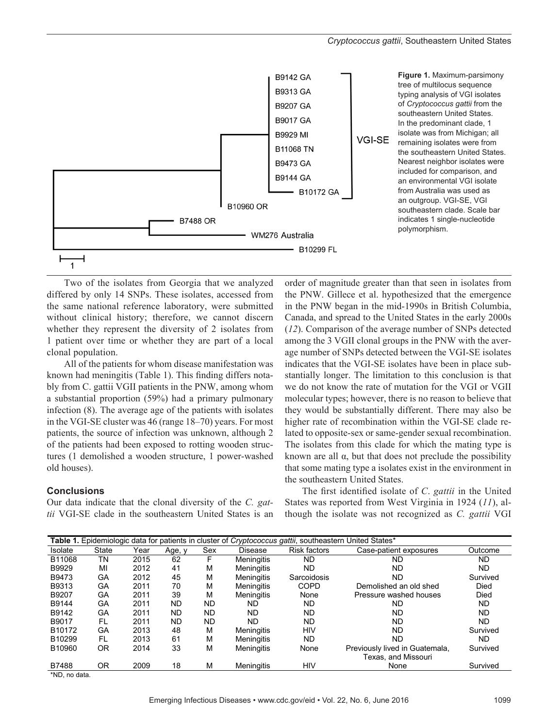

Two of the isolates from Georgia that we analyzed differed by only 14 SNPs. These isolates, accessed from the same national reference laboratory, were submitted without clinical history; therefore, we cannot discern whether they represent the diversity of 2 isolates from 1 patient over time or whether they are part of a local clonal population.

All of the patients for whom disease manifestation was known had meningitis (Table 1). This finding differs notably from C. gattii VGII patients in the PNW, among whom a substantial proportion (59%) had a primary pulmonary infection (8). The average age of the patients with isolates in the VGI-SE cluster was 46 (range 18–70) years. For most patients, the source of infection was unknown, although 2 of the patients had been exposed to rotting wooden structures (1 demolished a wooden structure, 1 power-washed old houses).

#### **Conclusions**

Our data indicate that the clonal diversity of the *C. gattii* VGI-SE clade in the southeastern United States is an

order of magnitude greater than that seen in isolates from the PNW. Gillece et al. hypothesized that the emergence in the PNW began in the mid-1990s in British Columbia, Canada, and spread to the United States in the early 2000s (*12*). Comparison of the average number of SNPs detected among the 3 VGII clonal groups in the PNW with the average number of SNPs detected between the VGI-SE isolates indicates that the VGI-SE isolates have been in place substantially longer. The limitation to this conclusion is that we do not know the rate of mutation for the VGI or VGII molecular types; however, there is no reason to believe that they would be substantially different. There may also be higher rate of recombination within the VGI-SE clade related to opposite-sex or same-gender sexual recombination. The isolates from this clade for which the mating type is known are all  $\alpha$ , but that does not preclude the possibility that some mating type a isolates exist in the environment in the southeastern United States.

The first identified isolate of *C*. *gattii* in the United States was reported from West Virginia in 1924 (*11*), although the isolate was not recognized as *C. gattii* VGI

| <b>Table 1.</b> Epidemiologic data for patients in cluster of <i>Cryptococcus gattii</i> , southeastern United States* |       |      |           |           |                   |                     |                                |           |  |
|------------------------------------------------------------------------------------------------------------------------|-------|------|-----------|-----------|-------------------|---------------------|--------------------------------|-----------|--|
| Isolate                                                                                                                | State | Year | Age, y    | Sex       | Disease           | <b>Risk factors</b> | Case-patient exposures         | Outcome   |  |
| B11068                                                                                                                 | ΤN    | 2015 | 62        | F         | <b>Meningitis</b> | ND                  | ND                             | ND        |  |
| B9929                                                                                                                  | MI    | 2012 | 41        | М         | <b>Meningitis</b> | ND                  | ND.                            | ND        |  |
| B9473                                                                                                                  | GA    | 2012 | 45        | M         | <b>Meningitis</b> | Sarcoidosis         | ND.                            | Survived  |  |
| B9313                                                                                                                  | GA    | 2011 | 70        | М         | <b>Meningitis</b> | COPD                | Demolished an old shed         | Died      |  |
| B9207                                                                                                                  | GA    | 2011 | 39        | М         | <b>Meningitis</b> | None                | Pressure washed houses         | Died      |  |
| B9144                                                                                                                  | GA    | 2011 | <b>ND</b> | <b>ND</b> | ND.               | ND                  | ND.                            | ND        |  |
| B9142                                                                                                                  | GA    | 2011 | <b>ND</b> | <b>ND</b> | <b>ND</b>         | ND                  | ND                             | <b>ND</b> |  |
| B9017                                                                                                                  | FL    | 2011 | <b>ND</b> | <b>ND</b> | <b>ND</b>         | ND                  | <b>ND</b>                      | ND        |  |
| B <sub>10172</sub>                                                                                                     | GA    | 2013 | 48        | M         | Meningitis        | HIV                 | <b>ND</b>                      | Survived  |  |
| B10299                                                                                                                 | FL    | 2013 | 61        | M         | <b>Meningitis</b> | <b>ND</b>           | <b>ND</b>                      | ND.       |  |
| B10960                                                                                                                 | OR    | 2014 | 33        | М         | Meningitis        | None                | Previously lived in Guatemala, | Survived  |  |
|                                                                                                                        |       |      |           |           |                   |                     | Texas, and Missouri            |           |  |
| B7488                                                                                                                  | ΟR    | 2009 | 18        | м         | Meninaitis        | HIV                 | None                           | Survived  |  |

\*ND, no data.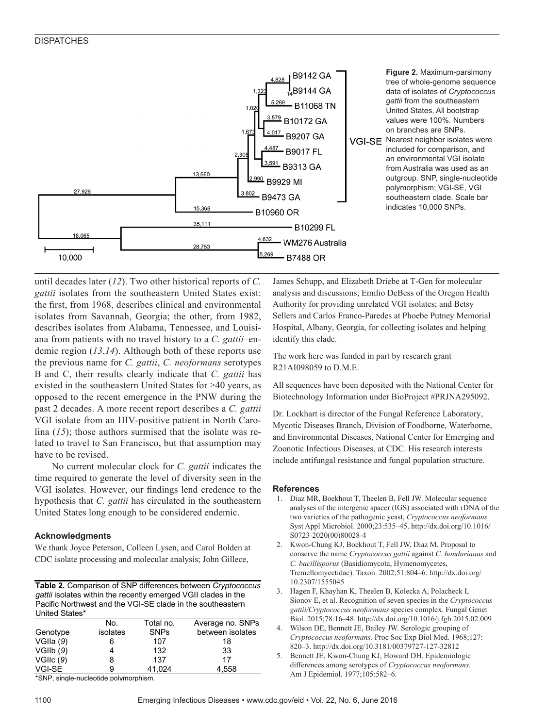

until decades later (*12*). Two other historical reports of *C. gattii* isolates from the southeastern United States exist: the first, from 1968, describes clinical and environmental isolates from Savannah, Georgia; the other, from 1982, describes isolates from Alabama, Tennessee, and Louisiana from patients with no travel history to a *C. gattii*–endemic region (*13*,*14*). Although both of these reports use the previous name for *C. gattii*, *C. neoformans* serotypes B and C, their results clearly indicate that *C. gattii* has existed in the southeastern United States for >40 years, as opposed to the recent emergence in the PNW during the past 2 decades. A more recent report describes a *C. gattii* VGI isolate from an HIV-positive patient in North Carolina (*15*); those authors surmised that the isolate was related to travel to San Francisco, but that assumption may have to be revised.

No current molecular clock for *C. gattii* indicates the time required to generate the level of diversity seen in the VGI isolates. However, our findings lend credence to the hypothesis that *C. gattii* has circulated in the southeastern United States long enough to be considered endemic.

#### **Acknowledgments**

We thank Joyce Peterson, Colleen Lysen, and Carol Bolden at CDC isolate processing and molecular analysis; John Gillece,

**Table 2.** Comparison of SNP differences between *Cryptococcus*  gattii isolates within the recently emerged VGII clades in the Pacific Northwest and the VGI-SE clade in the southeastern United States\*

|           | No.      | Total no.   | Average no. SNPs |
|-----------|----------|-------------|------------------|
| Genotype  | isolates | <b>SNPs</b> | between isolates |
| VGIIa (9) |          | 107         | 18               |
| VGIIb(9)  |          | 132         | 33               |
| VGIL(9)   | 8        | 137         | 17               |
| VGI-SE    | 9        | 41.024      | 4,558            |
|           |          |             |                  |

\*SNP, single-nucleotide polymorphism.

James Schupp, and Elizabeth Driebe at T-Gen for molecular analysis and discussions; Emilio DeBess of the Oregon Health Authority for providing unrelated VGI isolates; and Betsy Sellers and Carlos Franco-Paredes at Phoebe Putney Memorial Hospital, Albany, Georgia, for collecting isolates and helping identify this clade.

The work here was funded in part by research grant R21AI098059 to D.M.E.

All sequences have been deposited with the National Center for Biotechnology Information under BioProject #PRJNA295092.

Dr. Lockhart is director of the Fungal Reference Laboratory, Mycotic Diseases Branch, Division of Foodborne, Waterborne, and Environmental Diseases, National Center for Emerging and Zoonotic Infectious Diseases, at CDC. His research interests include antifungal resistance and fungal population structure.

#### **References**

- 1. Diaz MR, Boekhout T, Theelen B, Fell JW. Molecular sequence analyses of the intergenic spacer (IGS) associated with rDNA of the two varieties of the pathogenic yeast, *Cryptococcus neoformans.* Syst Appl Microbiol. 2000;23:535–45. http://dx.doi.org/10.1016/ S0723-2020(00)80028-4
- 2. Kwon-Chung KJ, Boekhout T, Fell JW, Diaz M. Proposal to conserve the name *Cryptococcus gattii* against *C. hondurianus* and *C. bacillisporus* (Basidiomycota, Hymenomycetes, Tremellomycetidae). Taxon. 2002;51:804–6. http://dx.doi.org/ 10.2307/1555045
- 3. Hagen F, Khayhan K, Theelen B, Kolecka A, Polacheck I, Sionov E, et al. Recognition of seven species in the *Cryptococcus gattii/Cryptococcus neoformans* species complex. Fungal Genet Biol. 2015;78:16–48. http://dx.doi.org/10.1016/j.fgb.2015.02.009
- 4. Wilson DE, Bennett JE, Bailey JW. Serologic grouping of *Cryptococcus neoformans.* Proc Soc Exp Biol Med. 1968;127: 820–3. http://dx.doi.org/10.3181/00379727-127-32812
- 5. Bennett JE, Kwon-Chung KJ, Howard DH. Epidemiologic differences among serotypes of *Cryptococcus neoformans.* Am J Epidemiol. 1977;105:582–6.